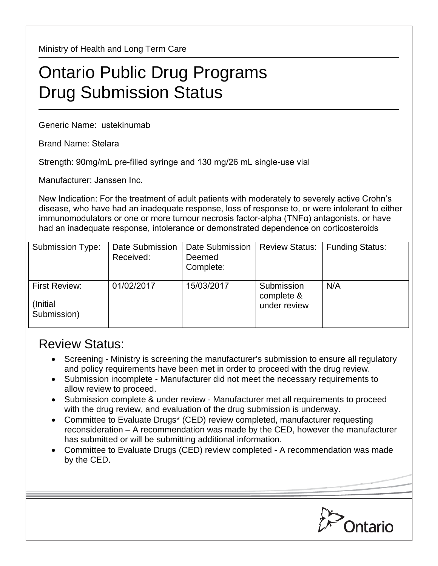Ministry of Health and Long Term Care

## Ontario Public Drug Programs Drug Submission Status

Generic Name: ustekinumab

Brand Name: Stelara

Strength: 90mg/mL pre-filled syringe and 130 mg/26 mL single-use vial

Manufacturer: Janssen Inc.

New Indication: For the treatment of adult patients with moderately to severely active Crohn's disease, who have had an inadequate response, loss of response to, or were intolerant to either immunomodulators or one or more tumour necrosis factor-alpha (TNFα) antagonists, or have had an inadequate response, intolerance or demonstrated dependence on corticosteroids

| <b>Submission Type:</b>                         | Date Submission<br>Received: | Date Submission<br>Deemed<br>Complete: | <b>Review Status:</b>                    | <b>Funding Status:</b> |
|-------------------------------------------------|------------------------------|----------------------------------------|------------------------------------------|------------------------|
| <b>First Review:</b><br>(Initial<br>Submission) | 01/02/2017                   | 15/03/2017                             | Submission<br>complete &<br>under review | N/A                    |

## Review Status:

- Screening Ministry is screening the manufacturer's submission to ensure all regulatory and policy requirements have been met in order to proceed with the drug review.
- Submission incomplete Manufacturer did not meet the necessary requirements to allow review to proceed.
- Submission complete & under review Manufacturer met all requirements to proceed with the drug review, and evaluation of the drug submission is underway.
- Committee to Evaluate Drugs\* (CED) review completed, manufacturer requesting reconsideration – A recommendation was made by the CED, however the manufacturer has submitted or will be submitting additional information.
- Committee to Evaluate Drugs (CED) review completed A recommendation was made by the CED.